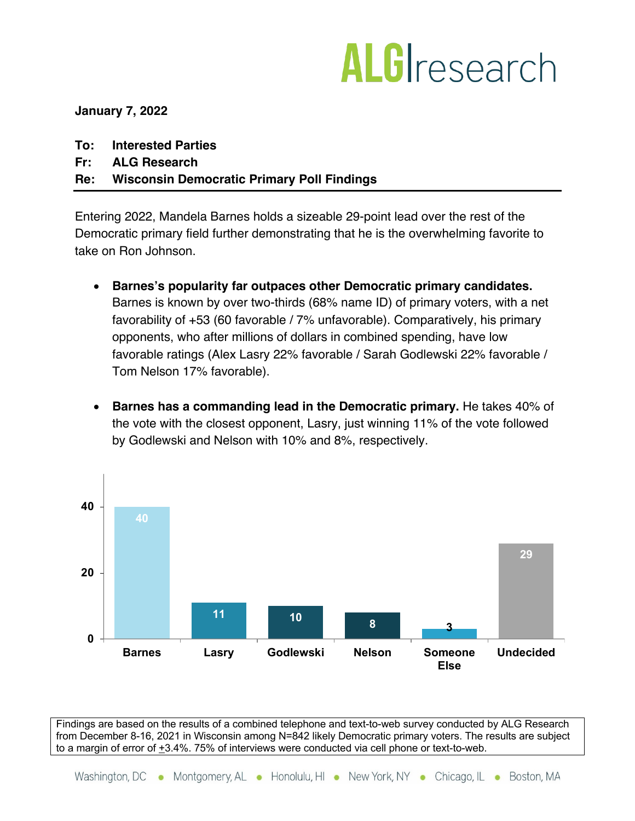## ALGIresearch

**January 7, 2022**

- **To: Interested Parties**
- **Fr: ALG Research**

## **Re: Wisconsin Democratic Primary Poll Findings**

Entering 2022, Mandela Barnes holds a sizeable 29-point lead over the rest of the Democratic primary field further demonstrating that he is the overwhelming favorite to take on Ron Johnson.

- **Barnes's popularity far outpaces other Democratic primary candidates.**  Barnes is known by over two-thirds (68% name ID) of primary voters, with a net favorability of +53 (60 favorable / 7% unfavorable). Comparatively, his primary opponents, who after millions of dollars in combined spending, have low favorable ratings (Alex Lasry 22% favorable / Sarah Godlewski 22% favorable / Tom Nelson 17% favorable).
- **Barnes has a commanding lead in the Democratic primary.** He takes 40% of the vote with the closest opponent, Lasry, just winning 11% of the vote followed by Godlewski and Nelson with 10% and 8%, respectively.



Findings are based on the results of a combined telephone and text-to-web survey conducted by ALG Research from December 8-16, 2021 in Wisconsin among N=842 likely Democratic primary voters. The results are subject to a margin of error of +3.4%. 75% of interviews were conducted via cell phone or text-to-web.